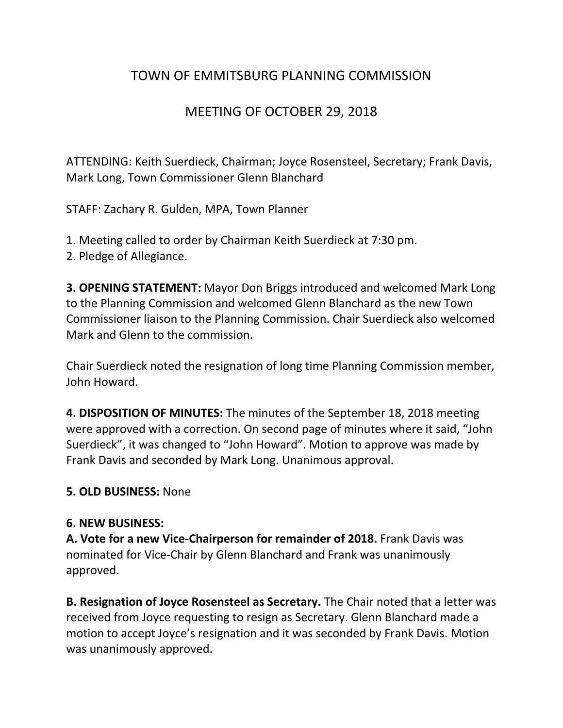## TOWN OF EMMITSBURG PLANNING COMMISSION

## MEETING OF OCTOBER 29, 2018

ATTENDING: Keith Suerdieck, Chairman; Joyce Rosensteel, Secretary; Frank Davis, Mark Long, Town Commissioner Glenn Blanchard

STAFF: Zachary R. Gulden, MPA, Town Planner

- 1. Meeting called to order by Chairman Keith Suerdieck at 7:30 pm.
- 2. Pledge of Allegiance.

**3. OPENING STATEMENT:** Mayor Don Briggs introduced and welcomed Mark Long to the Planning Commission and welcomed Glenn Blanchard as the new Town Commissioner liaison to the Planning Commission. Chair Suerdieck also welcomed Mark and Glenn to the commission.

Chair Suerdieck noted the resignation of long time Planning Commission member, John Howard.

**4. DISPOSITION OF MINUTES:** The minutes of the September 18, 2018 meeting were approved with a correction. On second page of minutes where it said, "John Suerdieck", it was changed to "John Howard". Motion to approve was made by Frank Davis and seconded by Mark Long. Unanimous approval.

## **5. OLD BUSINESS:** None

## **6. NEW BUSINESS:**

**A. Vote for a new Vice-Chairperson for remainder of 2018.** Frank Davis was nominated for Vice-Chair by Glenn Blanchard and Frank was unanimously approved.

**B. Resignation of Joyce Rosensteel as Secretary.** The Chair noted that a letter was received from Joyce requesting to resign as Secretary. Glenn Blanchard made a motion to accept Joyce's resignation and it was seconded by Frank Davis. Motion was unanimously approved.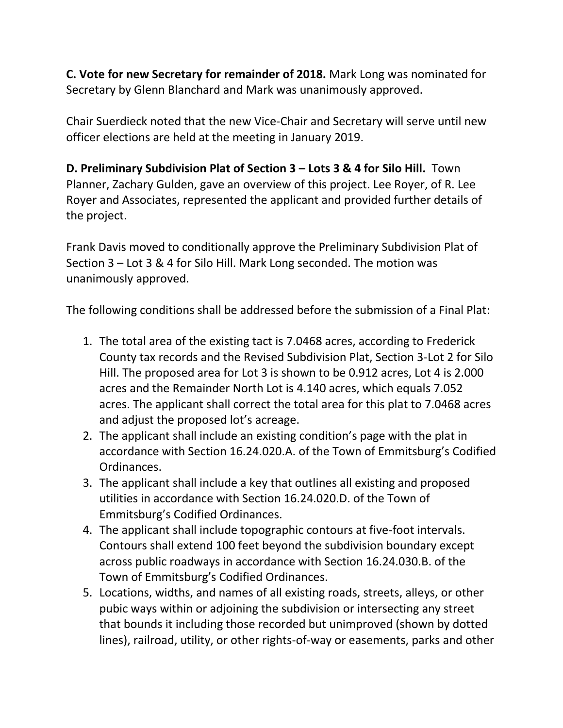**C. Vote for new Secretary for remainder of 2018.** Mark Long was nominated for Secretary by Glenn Blanchard and Mark was unanimously approved.

Chair Suerdieck noted that the new Vice-Chair and Secretary will serve until new officer elections are held at the meeting in January 2019.

**D. Preliminary Subdivision Plat of Section 3 – Lots 3 & 4 for Silo Hill.** Town Planner, Zachary Gulden, gave an overview of this project. Lee Royer, of R. Lee Royer and Associates, represented the applicant and provided further details of the project.

Frank Davis moved to conditionally approve the Preliminary Subdivision Plat of Section 3 – Lot 3 & 4 for Silo Hill. Mark Long seconded. The motion was unanimously approved.

The following conditions shall be addressed before the submission of a Final Plat:

- 1. The total area of the existing tact is 7.0468 acres, according to Frederick County tax records and the Revised Subdivision Plat, Section 3-Lot 2 for Silo Hill. The proposed area for Lot 3 is shown to be 0.912 acres, Lot 4 is 2.000 acres and the Remainder North Lot is 4.140 acres, which equals 7.052 acres. The applicant shall correct the total area for this plat to 7.0468 acres and adjust the proposed lot's acreage.
- 2. The applicant shall include an existing condition's page with the plat in accordance with Section 16.24.020.A. of the Town of Emmitsburg's Codified Ordinances.
- 3. The applicant shall include a key that outlines all existing and proposed utilities in accordance with Section 16.24.020.D. of the Town of Emmitsburg's Codified Ordinances.
- 4. The applicant shall include topographic contours at five-foot intervals. Contours shall extend 100 feet beyond the subdivision boundary except across public roadways in accordance with Section 16.24.030.B. of the Town of Emmitsburg's Codified Ordinances.
- 5. Locations, widths, and names of all existing roads, streets, alleys, or other pubic ways within or adjoining the subdivision or intersecting any street that bounds it including those recorded but unimproved (shown by dotted lines), railroad, utility, or other rights-of-way or easements, parks and other